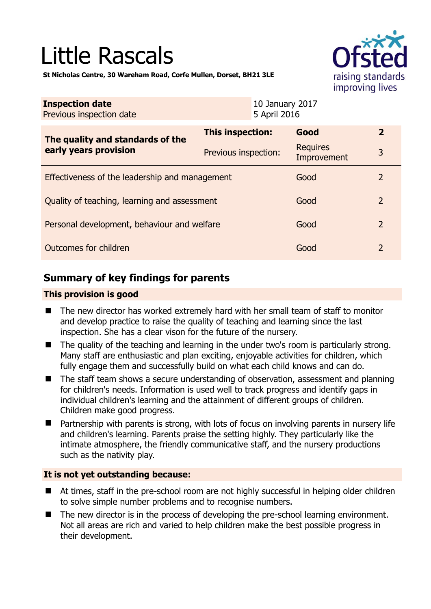# Little Rascals



**St Nicholas Centre, 30 Wareham Road, Corfe Mullen, Dorset, BH21 3LE** 

| <b>Inspection date</b><br>Previous inspection date        | 10 January 2017<br>5 April 2016 |                                |                |
|-----------------------------------------------------------|---------------------------------|--------------------------------|----------------|
| The quality and standards of the<br>early years provision | This inspection:                | Good                           | $\overline{2}$ |
|                                                           | Previous inspection:            | <b>Requires</b><br>Improvement | 3              |
| Effectiveness of the leadership and management            |                                 | Good                           | 2              |
| Quality of teaching, learning and assessment              |                                 | Good                           | $\overline{2}$ |
| Personal development, behaviour and welfare               |                                 | Good                           | $\overline{2}$ |
| Outcomes for children                                     |                                 | Good                           | $\mathcal{P}$  |

# **Summary of key findings for parents**

# **This provision is good**

- The new director has worked extremely hard with her small team of staff to monitor and develop practice to raise the quality of teaching and learning since the last inspection. She has a clear vison for the future of the nursery.
- The quality of the teaching and learning in the under two's room is particularly strong. Many staff are enthusiastic and plan exciting, enjoyable activities for children, which fully engage them and successfully build on what each child knows and can do.
- The staff team shows a secure understanding of observation, assessment and planning for children's needs. Information is used well to track progress and identify gaps in individual children's learning and the attainment of different groups of children. Children make good progress.
- Partnership with parents is strong, with lots of focus on involving parents in nursery life and children's learning. Parents praise the setting highly. They particularly like the intimate atmosphere, the friendly communicative staff, and the nursery productions such as the nativity play.

# **It is not yet outstanding because:**

- At times, staff in the pre-school room are not highly successful in helping older children to solve simple number problems and to recognise numbers.
- The new director is in the process of developing the pre-school learning environment. Not all areas are rich and varied to help children make the best possible progress in their development.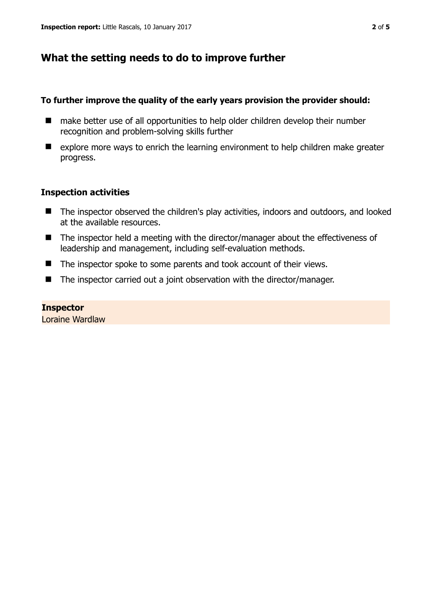# **What the setting needs to do to improve further**

# **To further improve the quality of the early years provision the provider should:**

- make better use of all opportunities to help older children develop their number recognition and problem-solving skills further
- explore more ways to enrich the learning environment to help children make greater progress.

# **Inspection activities**

- The inspector observed the children's play activities, indoors and outdoors, and looked at the available resources.
- The inspector held a meeting with the director/manager about the effectiveness of leadership and management, including self-evaluation methods.
- The inspector spoke to some parents and took account of their views.
- The inspector carried out a joint observation with the director/manager.

#### **Inspector**

Loraine Wardlaw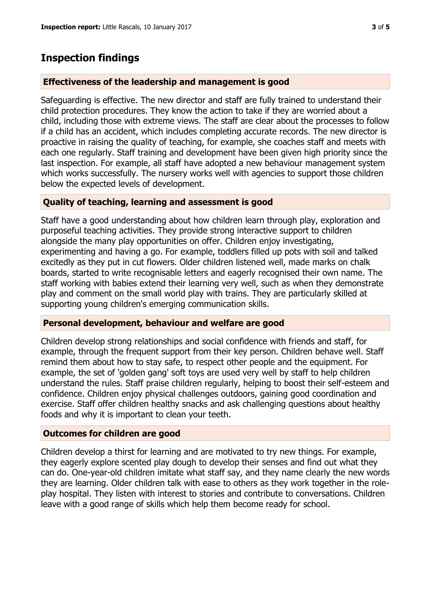# **Inspection findings**

# **Effectiveness of the leadership and management is good**

Safeguarding is effective. The new director and staff are fully trained to understand their child protection procedures. They know the action to take if they are worried about a child, including those with extreme views. The staff are clear about the processes to follow if a child has an accident, which includes completing accurate records. The new director is proactive in raising the quality of teaching, for example, she coaches staff and meets with each one regularly. Staff training and development have been given high priority since the last inspection. For example, all staff have adopted a new behaviour management system which works successfully. The nursery works well with agencies to support those children below the expected levels of development.

# **Quality of teaching, learning and assessment is good**

Staff have a good understanding about how children learn through play, exploration and purposeful teaching activities. They provide strong interactive support to children alongside the many play opportunities on offer. Children enjoy investigating, experimenting and having a go. For example, toddlers filled up pots with soil and talked excitedly as they put in cut flowers. Older children listened well, made marks on chalk boards, started to write recognisable letters and eagerly recognised their own name. The staff working with babies extend their learning very well, such as when they demonstrate play and comment on the small world play with trains. They are particularly skilled at supporting young children's emerging communication skills.

# **Personal development, behaviour and welfare are good**

Children develop strong relationships and social confidence with friends and staff, for example, through the frequent support from their key person. Children behave well. Staff remind them about how to stay safe, to respect other people and the equipment. For example, the set of 'golden gang' soft toys are used very well by staff to help children understand the rules. Staff praise children regularly, helping to boost their self-esteem and confidence. Children enjoy physical challenges outdoors, gaining good coordination and exercise. Staff offer children healthy snacks and ask challenging questions about healthy foods and why it is important to clean your teeth.

# **Outcomes for children are good**

Children develop a thirst for learning and are motivated to try new things. For example, they eagerly explore scented play dough to develop their senses and find out what they can do. One-year-old children imitate what staff say, and they name clearly the new words they are learning. Older children talk with ease to others as they work together in the roleplay hospital. They listen with interest to stories and contribute to conversations. Children leave with a good range of skills which help them become ready for school.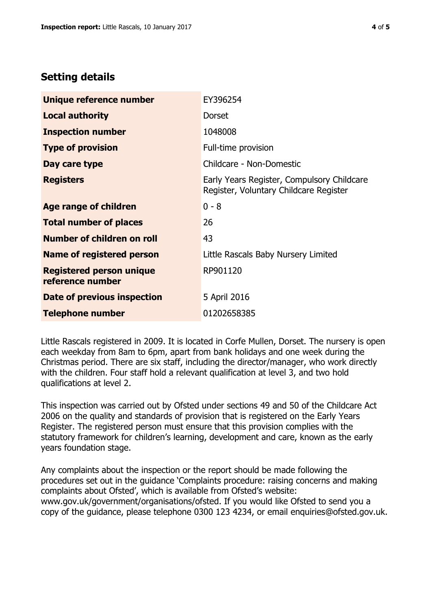# **Setting details**

| Unique reference number                             | EY396254                                                                             |  |
|-----------------------------------------------------|--------------------------------------------------------------------------------------|--|
| <b>Local authority</b>                              | <b>Dorset</b>                                                                        |  |
| <b>Inspection number</b>                            | 1048008                                                                              |  |
| <b>Type of provision</b>                            | Full-time provision                                                                  |  |
| Day care type                                       | Childcare - Non-Domestic                                                             |  |
| <b>Registers</b>                                    | Early Years Register, Compulsory Childcare<br>Register, Voluntary Childcare Register |  |
| <b>Age range of children</b>                        | $0 - 8$                                                                              |  |
| <b>Total number of places</b>                       | 26                                                                                   |  |
| <b>Number of children on roll</b>                   | 43                                                                                   |  |
| <b>Name of registered person</b>                    | Little Rascals Baby Nursery Limited                                                  |  |
| <b>Registered person unique</b><br>reference number | RP901120                                                                             |  |
| Date of previous inspection                         | 5 April 2016                                                                         |  |
| <b>Telephone number</b>                             | 01202658385                                                                          |  |

Little Rascals registered in 2009. It is located in Corfe Mullen, Dorset. The nursery is open each weekday from 8am to 6pm, apart from bank holidays and one week during the Christmas period. There are six staff, including the director/manager, who work directly with the children. Four staff hold a relevant qualification at level 3, and two hold qualifications at level 2.

This inspection was carried out by Ofsted under sections 49 and 50 of the Childcare Act 2006 on the quality and standards of provision that is registered on the Early Years Register. The registered person must ensure that this provision complies with the statutory framework for children's learning, development and care, known as the early years foundation stage.

Any complaints about the inspection or the report should be made following the procedures set out in the guidance 'Complaints procedure: raising concerns and making complaints about Ofsted', which is available from Ofsted's website: www.gov.uk/government/organisations/ofsted. If you would like Ofsted to send you a copy of the guidance, please telephone 0300 123 4234, or email enquiries@ofsted.gov.uk.